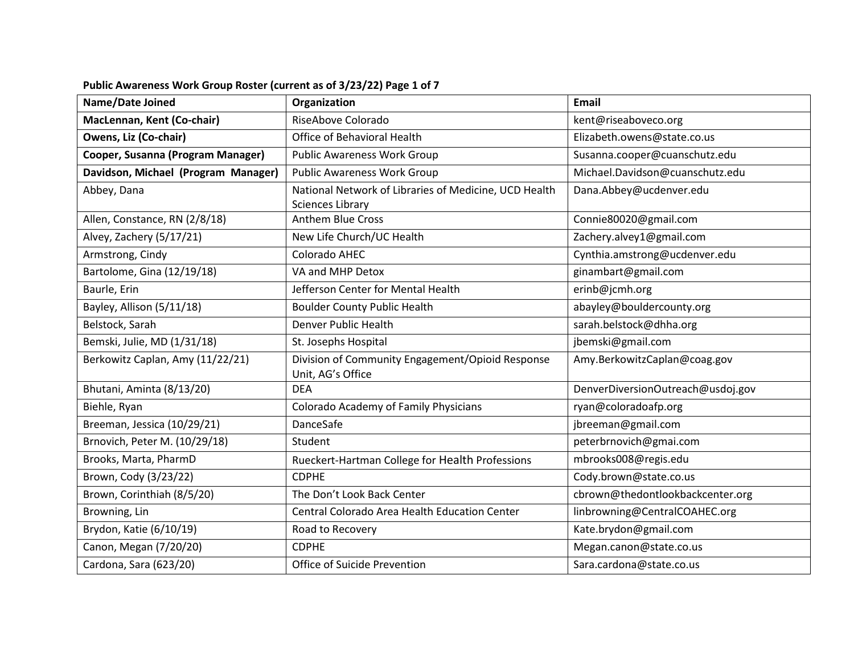| <b>Name/Date Joined</b>             | Organization                                                                     | <b>Email</b>                      |
|-------------------------------------|----------------------------------------------------------------------------------|-----------------------------------|
| MacLennan, Kent (Co-chair)          | RiseAbove Colorado                                                               | kent@riseaboveco.org              |
| Owens, Liz (Co-chair)               | Office of Behavioral Health                                                      | Elizabeth.owens@state.co.us       |
| Cooper, Susanna (Program Manager)   | <b>Public Awareness Work Group</b>                                               | Susanna.cooper@cuanschutz.edu     |
| Davidson, Michael (Program Manager) | <b>Public Awareness Work Group</b>                                               | Michael.Davidson@cuanschutz.edu   |
| Abbey, Dana                         | National Network of Libraries of Medicine, UCD Health<br><b>Sciences Library</b> | Dana.Abbey@ucdenver.edu           |
| Allen, Constance, RN (2/8/18)       | <b>Anthem Blue Cross</b>                                                         | Connie80020@gmail.com             |
| Alvey, Zachery (5/17/21)            | New Life Church/UC Health                                                        | Zachery.alvey1@gmail.com          |
| Armstrong, Cindy                    | Colorado AHEC                                                                    | Cynthia.amstrong@ucdenver.edu     |
| Bartolome, Gina (12/19/18)          | VA and MHP Detox                                                                 | ginambart@gmail.com               |
| Baurle, Erin                        | Jefferson Center for Mental Health                                               | erinb@jcmh.org                    |
| Bayley, Allison (5/11/18)           | <b>Boulder County Public Health</b>                                              | abayley@bouldercounty.org         |
| Belstock, Sarah                     | <b>Denver Public Health</b>                                                      | sarah.belstock@dhha.org           |
| Bemski, Julie, MD (1/31/18)         | St. Josephs Hospital                                                             | jbemski@gmail.com                 |
| Berkowitz Caplan, Amy (11/22/21)    | Division of Community Engagement/Opioid Response<br>Unit, AG's Office            | Amy.BerkowitzCaplan@coag.gov      |
| Bhutani, Aminta (8/13/20)           | <b>DEA</b>                                                                       | DenverDiversionOutreach@usdoj.gov |
| Biehle, Ryan                        | Colorado Academy of Family Physicians                                            | ryan@coloradoafp.org              |
| Breeman, Jessica (10/29/21)         | DanceSafe                                                                        | jbreeman@gmail.com                |
| Brnovich, Peter M. (10/29/18)       | Student                                                                          | peterbrnovich@gmai.com            |
| Brooks, Marta, PharmD               | Rueckert-Hartman College for Health Professions                                  | mbrooks008@regis.edu              |
| Brown, Cody (3/23/22)               | <b>CDPHE</b>                                                                     | Cody.brown@state.co.us            |
| Brown, Corinthiah (8/5/20)          | The Don't Look Back Center                                                       | cbrown@thedontlookbackcenter.org  |
| Browning, Lin                       | Central Colorado Area Health Education Center                                    | linbrowning@CentralCOAHEC.org     |
| Brydon, Katie (6/10/19)             | Road to Recovery                                                                 | Kate.brydon@gmail.com             |
| Canon, Megan (7/20/20)              | <b>CDPHE</b>                                                                     | Megan.canon@state.co.us           |
| Cardona, Sara (623/20)              | Office of Suicide Prevention                                                     | Sara.cardona@state.co.us          |

## **Public Awareness Work Group Roster (current as of 3/23/22) Page 1 of 7**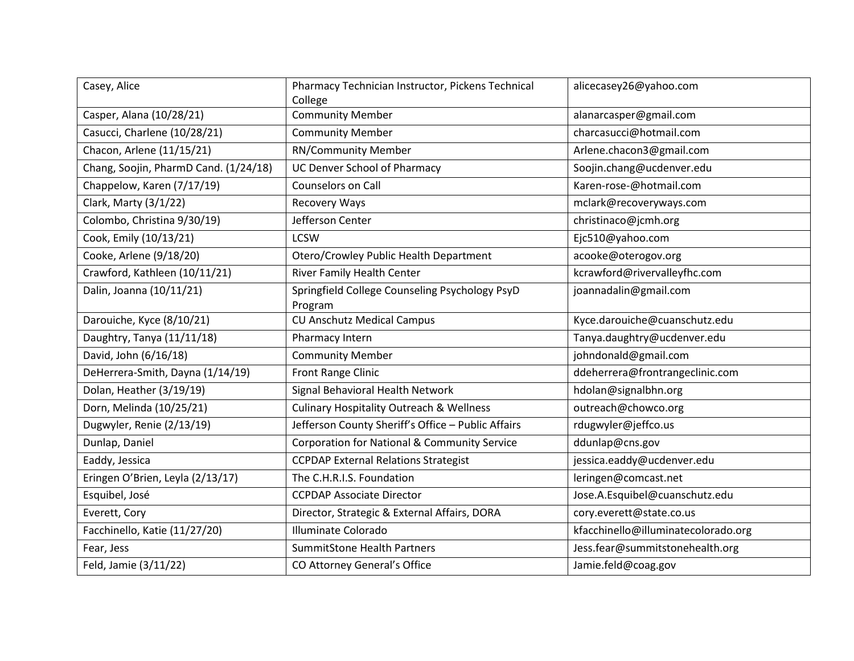| Casey, Alice                          | Pharmacy Technician Instructor, Pickens Technical<br>College | alicecasey26@yahoo.com              |
|---------------------------------------|--------------------------------------------------------------|-------------------------------------|
| Casper, Alana (10/28/21)              | <b>Community Member</b>                                      | alanarcasper@gmail.com              |
| Casucci, Charlene (10/28/21)          | <b>Community Member</b>                                      | charcasucci@hotmail.com             |
| Chacon, Arlene (11/15/21)             | <b>RN/Community Member</b>                                   | Arlene.chacon3@gmail.com            |
| Chang, Soojin, PharmD Cand. (1/24/18) | UC Denver School of Pharmacy                                 | Soojin.chang@ucdenver.edu           |
| Chappelow, Karen (7/17/19)            | <b>Counselors on Call</b>                                    | Karen-rose-@hotmail.com             |
| Clark, Marty (3/1/22)                 | <b>Recovery Ways</b>                                         | mclark@recoveryways.com             |
| Colombo, Christina 9/30/19)           | Jefferson Center                                             | christinaco@jcmh.org                |
| Cook, Emily (10/13/21)                | <b>LCSW</b>                                                  | Ejc510@yahoo.com                    |
| Cooke, Arlene (9/18/20)               | Otero/Crowley Public Health Department                       | acooke@oterogov.org                 |
| Crawford, Kathleen (10/11/21)         | River Family Health Center                                   | kcrawford@rivervalleyfhc.com        |
| Dalin, Joanna (10/11/21)              | Springfield College Counseling Psychology PsyD<br>Program    | joannadalin@gmail.com               |
| Darouiche, Kyce (8/10/21)             | <b>CU Anschutz Medical Campus</b>                            | Kyce.darouiche@cuanschutz.edu       |
| Daughtry, Tanya (11/11/18)            | Pharmacy Intern                                              | Tanya.daughtry@ucdenver.edu         |
| David, John (6/16/18)                 | <b>Community Member</b>                                      | johndonald@gmail.com                |
| DeHerrera-Smith, Dayna (1/14/19)      | Front Range Clinic                                           | ddeherrera@frontrangeclinic.com     |
| Dolan, Heather (3/19/19)              | Signal Behavioral Health Network                             | hdolan@signalbhn.org                |
| Dorn, Melinda (10/25/21)              | <b>Culinary Hospitality Outreach &amp; Wellness</b>          | outreach@chowco.org                 |
| Dugwyler, Renie (2/13/19)             | Jefferson County Sheriff's Office - Public Affairs           | rdugwyler@jeffco.us                 |
| Dunlap, Daniel                        | Corporation for National & Community Service                 | ddunlap@cns.gov                     |
| Eaddy, Jessica                        | <b>CCPDAP External Relations Strategist</b>                  | jessica.eaddy@ucdenver.edu          |
| Eringen O'Brien, Leyla (2/13/17)      | The C.H.R.I.S. Foundation                                    | leringen@comcast.net                |
| Esquibel, José                        | <b>CCPDAP Associate Director</b>                             | Jose.A.Esquibel@cuanschutz.edu      |
| Everett, Cory                         | Director, Strategic & External Affairs, DORA                 | cory.everett@state.co.us            |
| Facchinello, Katie (11/27/20)         | Illuminate Colorado                                          | kfacchinello@illuminatecolorado.org |
| Fear, Jess                            | <b>SummitStone Health Partners</b>                           | Jess.fear@summitstonehealth.org     |
| Feld, Jamie (3/11/22)                 | CO Attorney General's Office                                 | Jamie.feld@coag.gov                 |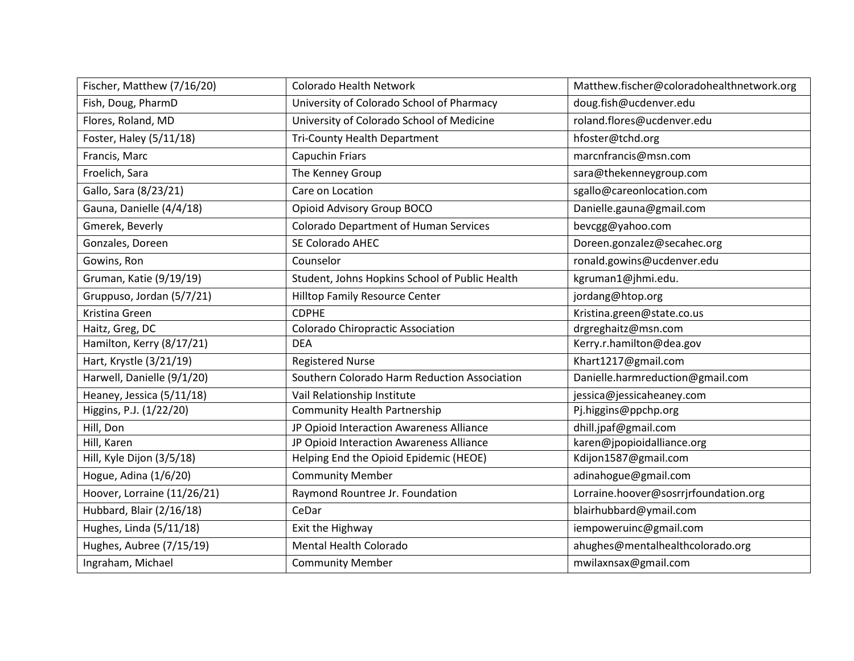| Fischer, Matthew (7/16/20)  | <b>Colorado Health Network</b>                 | Matthew.fischer@coloradohealthnetwork.org |
|-----------------------------|------------------------------------------------|-------------------------------------------|
| Fish, Doug, PharmD          | University of Colorado School of Pharmacy      | doug.fish@ucdenver.edu                    |
| Flores, Roland, MD          | University of Colorado School of Medicine      | roland.flores@ucdenver.edu                |
| Foster, Haley (5/11/18)     | <b>Tri-County Health Department</b>            | hfoster@tchd.org                          |
| Francis, Marc               | <b>Capuchin Friars</b>                         | marcnfrancis@msn.com                      |
| Froelich, Sara              | The Kenney Group                               | sara@thekenneygroup.com                   |
| Gallo, Sara (8/23/21)       | Care on Location                               | sgallo@careonlocation.com                 |
| Gauna, Danielle (4/4/18)    | Opioid Advisory Group BOCO                     | Danielle.gauna@gmail.com                  |
| Gmerek, Beverly             | <b>Colorado Department of Human Services</b>   | bevcgg@yahoo.com                          |
| Gonzales, Doreen            | SE Colorado AHEC                               | Doreen.gonzalez@secahec.org               |
| Gowins, Ron                 | Counselor                                      | ronald.gowins@ucdenver.edu                |
| Gruman, Katie (9/19/19)     | Student, Johns Hopkins School of Public Health | kgruman1@jhmi.edu.                        |
| Gruppuso, Jordan (5/7/21)   | <b>Hilltop Family Resource Center</b>          | jordang@htop.org                          |
| Kristina Green              | <b>CDPHE</b>                                   | Kristina.green@state.co.us                |
| Haitz, Greg, DC             | Colorado Chiropractic Association              | drgreghaitz@msn.com                       |
| Hamilton, Kerry (8/17/21)   | <b>DEA</b>                                     | Kerry.r.hamilton@dea.gov                  |
| Hart, Krystle (3/21/19)     | <b>Registered Nurse</b>                        | Khart1217@gmail.com                       |
| Harwell, Danielle (9/1/20)  | Southern Colorado Harm Reduction Association   | Danielle.harmreduction@gmail.com          |
| Heaney, Jessica (5/11/18)   | Vail Relationship Institute                    | jessica@jessicaheaney.com                 |
| Higgins, P.J. (1/22/20)     | <b>Community Health Partnership</b>            | Pj.higgins@ppchp.org                      |
| Hill, Don                   | JP Opioid Interaction Awareness Alliance       | dhill.jpaf@gmail.com                      |
| Hill, Karen                 | JP Opioid Interaction Awareness Alliance       | karen@jpopioidalliance.org                |
| Hill, Kyle Dijon (3/5/18)   | Helping End the Opioid Epidemic (HEOE)         | Kdijon1587@gmail.com                      |
| Hogue, Adina (1/6/20)       | <b>Community Member</b>                        | adinahogue@gmail.com                      |
| Hoover, Lorraine (11/26/21) | Raymond Rountree Jr. Foundation                | Lorraine.hoover@sosrrjrfoundation.org     |
| Hubbard, Blair (2/16/18)    | CeDar                                          | blairhubbard@ymail.com                    |
| Hughes, Linda (5/11/18)     | Exit the Highway                               | iempoweruinc@gmail.com                    |
| Hughes, Aubree (7/15/19)    | Mental Health Colorado                         | ahughes@mentalhealthcolorado.org          |
| Ingraham, Michael           | <b>Community Member</b>                        | mwilaxnsax@gmail.com                      |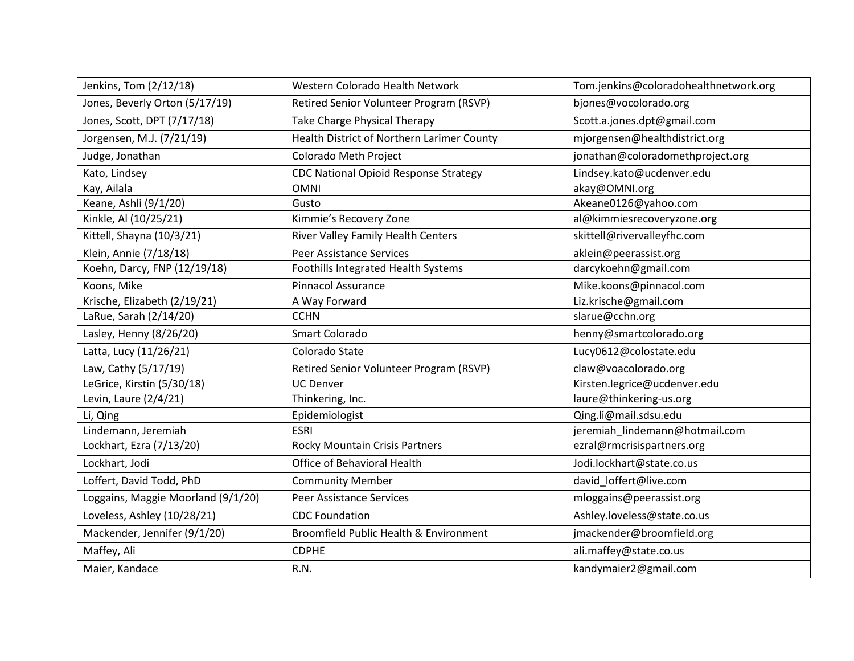| Jenkins, Tom (2/12/18)             | Western Colorado Health Network              | Tom.jenkins@coloradohealthnetwork.org |
|------------------------------------|----------------------------------------------|---------------------------------------|
| Jones, Beverly Orton (5/17/19)     | Retired Senior Volunteer Program (RSVP)      | bjones@vocolorado.org                 |
| Jones, Scott, DPT (7/17/18)        | <b>Take Charge Physical Therapy</b>          | Scott.a.jones.dpt@gmail.com           |
| Jorgensen, M.J. (7/21/19)          | Health District of Northern Larimer County   | mjorgensen@healthdistrict.org         |
| Judge, Jonathan                    | Colorado Meth Project                        | jonathan@coloradomethproject.org      |
| Kato, Lindsey                      | <b>CDC National Opioid Response Strategy</b> | Lindsey.kato@ucdenver.edu             |
| Kay, Ailala                        | <b>OMNI</b>                                  | akay@OMNI.org                         |
| Keane, Ashli (9/1/20)              | Gusto                                        | Akeane0126@yahoo.com                  |
| Kinkle, Al (10/25/21)              | Kimmie's Recovery Zone                       | al@kimmiesrecoveryzone.org            |
| Kittell, Shayna (10/3/21)          | River Valley Family Health Centers           | skittell@rivervalleyfhc.com           |
| Klein, Annie (7/18/18)             | <b>Peer Assistance Services</b>              | aklein@peerassist.org                 |
| Koehn, Darcy, FNP (12/19/18)       | Foothills Integrated Health Systems          | darcykoehn@gmail.com                  |
| Koons, Mike                        | <b>Pinnacol Assurance</b>                    | Mike.koons@pinnacol.com               |
| Krische, Elizabeth (2/19/21)       | A Way Forward                                | Liz.krische@gmail.com                 |
| LaRue, Sarah (2/14/20)             | <b>CCHN</b>                                  | slarue@cchn.org                       |
| Lasley, Henny (8/26/20)            | Smart Colorado                               | henny@smartcolorado.org               |
| Latta, Lucy (11/26/21)             | Colorado State                               | Lucy0612@colostate.edu                |
| Law, Cathy (5/17/19)               | Retired Senior Volunteer Program (RSVP)      | claw@voacolorado.org                  |
| LeGrice, Kirstin (5/30/18)         | <b>UC Denver</b>                             | Kirsten.legrice@ucdenver.edu          |
| Levin, Laure (2/4/21)              | Thinkering, Inc.                             | laure@thinkering-us.org               |
| Li, Qing                           | Epidemiologist                               | Qing.li@mail.sdsu.edu                 |
| Lindemann, Jeremiah                | <b>ESRI</b>                                  | jeremiah_lindemann@hotmail.com        |
| Lockhart, Ezra (7/13/20)           | Rocky Mountain Crisis Partners               | ezral@rmcrisispartners.org            |
| Lockhart, Jodi                     | Office of Behavioral Health                  | Jodi.lockhart@state.co.us             |
| Loffert, David Todd, PhD           | <b>Community Member</b>                      | david_loffert@live.com                |
| Loggains, Maggie Moorland (9/1/20) | Peer Assistance Services                     | mloggains@peerassist.org              |
| Loveless, Ashley (10/28/21)        | <b>CDC Foundation</b>                        | Ashley.loveless@state.co.us           |
| Mackender, Jennifer (9/1/20)       | Broomfield Public Health & Environment       | jmackender@broomfield.org             |
| Maffey, Ali                        | <b>CDPHE</b>                                 | ali.maffey@state.co.us                |
| Maier, Kandace                     | R.N.                                         | kandymaier2@gmail.com                 |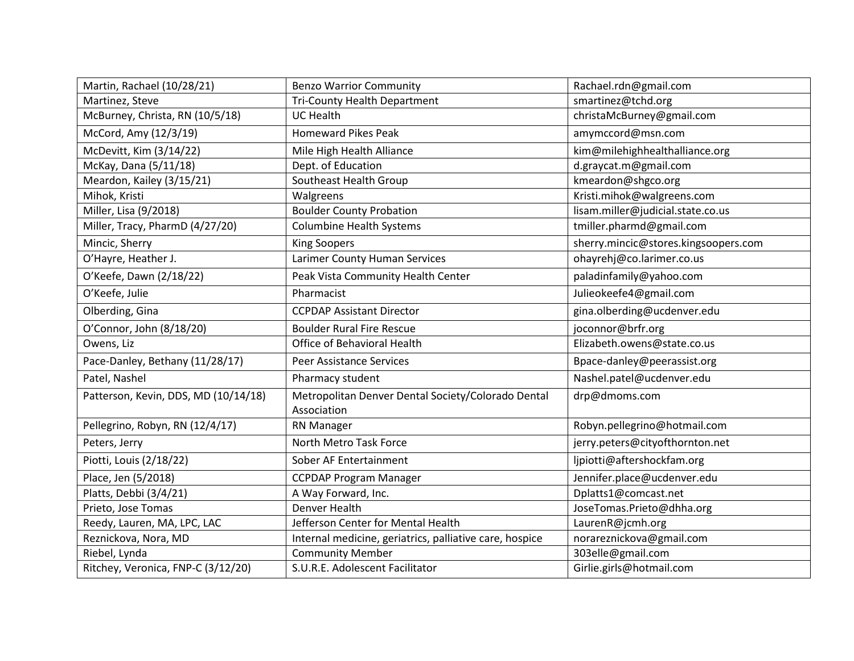| Martin, Rachael (10/28/21)           | <b>Benzo Warrior Community</b>                          | Rachael.rdn@gmail.com                |
|--------------------------------------|---------------------------------------------------------|--------------------------------------|
| Martinez, Steve                      | <b>Tri-County Health Department</b>                     | smartinez@tchd.org                   |
| McBurney, Christa, RN (10/5/18)      | <b>UC Health</b>                                        | christaMcBurney@gmail.com            |
| McCord, Amy (12/3/19)                | <b>Homeward Pikes Peak</b>                              | amymccord@msn.com                    |
| McDevitt, Kim (3/14/22)              | Mile High Health Alliance                               | kim@milehighhealthalliance.org       |
| McKay, Dana (5/11/18)                | Dept. of Education                                      | d.graycat.m@gmail.com                |
| Meardon, Kailey (3/15/21)            | Southeast Health Group                                  | kmeardon@shgco.org                   |
| Mihok, Kristi                        | Walgreens                                               | Kristi.mihok@walgreens.com           |
| Miller, Lisa (9/2018)                | <b>Boulder County Probation</b>                         | lisam.miller@judicial.state.co.us    |
| Miller, Tracy, PharmD (4/27/20)      | <b>Columbine Health Systems</b>                         | tmiller.pharmd@gmail.com             |
| Mincic, Sherry                       | <b>King Soopers</b>                                     | sherry.mincic@stores.kingsoopers.com |
| O'Hayre, Heather J.                  | Larimer County Human Services                           | ohayrehj@co.larimer.co.us            |
| O'Keefe, Dawn (2/18/22)              | Peak Vista Community Health Center                      | paladinfamily@yahoo.com              |
| O'Keefe, Julie                       | Pharmacist                                              | Julieokeefe4@gmail.com               |
| Olberding, Gina                      | <b>CCPDAP Assistant Director</b>                        | gina.olberding@ucdenver.edu          |
| O'Connor, John (8/18/20)             | <b>Boulder Rural Fire Rescue</b>                        | joconnor@brfr.org                    |
| Owens, Liz                           | Office of Behavioral Health                             | Elizabeth.owens@state.co.us          |
| Pace-Danley, Bethany (11/28/17)      | <b>Peer Assistance Services</b>                         | Bpace-danley@peerassist.org          |
| Patel, Nashel                        | Pharmacy student                                        | Nashel.patel@ucdenver.edu            |
| Patterson, Kevin, DDS, MD (10/14/18) | Metropolitan Denver Dental Society/Colorado Dental      | drp@dmoms.com                        |
|                                      | Association                                             |                                      |
| Pellegrino, Robyn, RN (12/4/17)      | RN Manager                                              | Robyn.pellegrino@hotmail.com         |
| Peters, Jerry                        | North Metro Task Force                                  | jerry.peters@cityofthornton.net      |
| Piotti, Louis (2/18/22)              | Sober AF Entertainment                                  | ljpiotti@aftershockfam.org           |
| Place, Jen (5/2018)                  | <b>CCPDAP Program Manager</b>                           | Jennifer.place@ucdenver.edu          |
| Platts, Debbi (3/4/21)               | A Way Forward, Inc.                                     | Dplatts1@comcast.net                 |
| Prieto, Jose Tomas                   | Denver Health                                           | JoseTomas.Prieto@dhha.org            |
| Reedy, Lauren, MA, LPC, LAC          | Jefferson Center for Mental Health                      | LaurenR@jcmh.org                     |
| Reznickova, Nora, MD                 | Internal medicine, geriatrics, palliative care, hospice | norareznickova@gmail.com             |
| Riebel, Lynda                        | <b>Community Member</b>                                 | 303elle@gmail.com                    |
| Ritchey, Veronica, FNP-C (3/12/20)   | S.U.R.E. Adolescent Facilitator                         | Girlie.girls@hotmail.com             |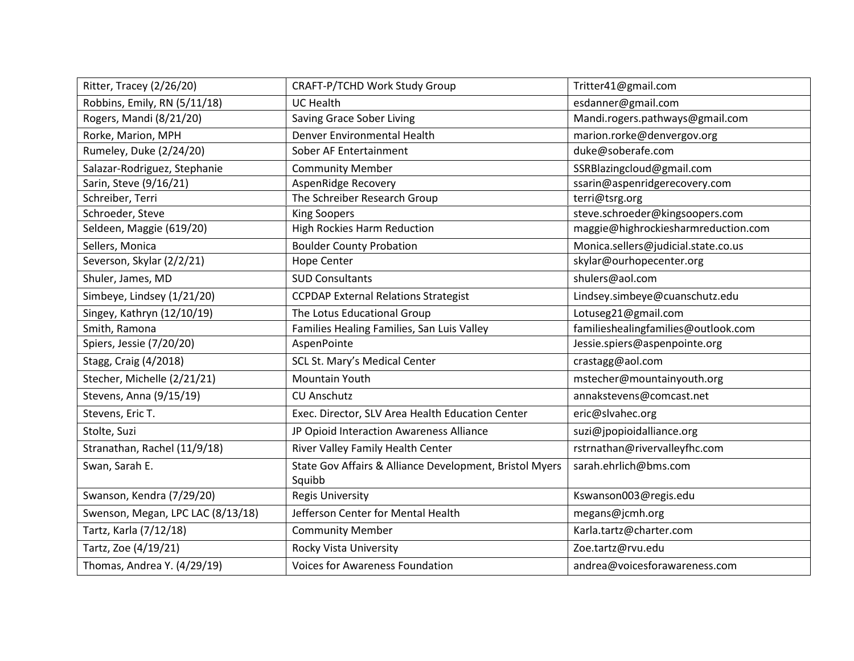| Ritter, Tracey (2/26/20)          | CRAFT-P/TCHD Work Study Group                           | Tritter41@gmail.com                 |
|-----------------------------------|---------------------------------------------------------|-------------------------------------|
| Robbins, Emily, RN (5/11/18)      | <b>UC Health</b>                                        | esdanner@gmail.com                  |
| Rogers, Mandi (8/21/20)           | Saving Grace Sober Living                               | Mandi.rogers.pathways@gmail.com     |
| Rorke, Marion, MPH                | Denver Environmental Health                             | marion.rorke@denvergov.org          |
| Rumeley, Duke (2/24/20)           | Sober AF Entertainment                                  | duke@soberafe.com                   |
| Salazar-Rodriguez, Stephanie      | <b>Community Member</b>                                 | SSRBlazingcloud@gmail.com           |
| Sarin, Steve (9/16/21)            | AspenRidge Recovery                                     | ssarin@aspenridgerecovery.com       |
| Schreiber, Terri                  | The Schreiber Research Group                            | terri@tsrg.org                      |
| Schroeder, Steve                  | <b>King Soopers</b>                                     | steve.schroeder@kingsoopers.com     |
| Seldeen, Maggie (619/20)          | <b>High Rockies Harm Reduction</b>                      | maggie@highrockiesharmreduction.com |
| Sellers, Monica                   | <b>Boulder County Probation</b>                         | Monica.sellers@judicial.state.co.us |
| Severson, Skylar (2/2/21)         | <b>Hope Center</b>                                      | skylar@ourhopecenter.org            |
| Shuler, James, MD                 | <b>SUD Consultants</b>                                  | shulers@aol.com                     |
| Simbeye, Lindsey (1/21/20)        | <b>CCPDAP External Relations Strategist</b>             | Lindsey.simbeye@cuanschutz.edu      |
| Singey, Kathryn (12/10/19)        | The Lotus Educational Group                             | Lotuseg21@gmail.com                 |
| Smith, Ramona                     | Families Healing Families, San Luis Valley              | familieshealingfamilies@outlook.com |
| Spiers, Jessie (7/20/20)          | AspenPointe                                             | Jessie.spiers@aspenpointe.org       |
| Stagg, Craig (4/2018)             | SCL St. Mary's Medical Center                           | crastagg@aol.com                    |
| Stecher, Michelle (2/21/21)       | <b>Mountain Youth</b>                                   | mstecher@mountainyouth.org          |
| Stevens, Anna (9/15/19)           | <b>CU Anschutz</b>                                      | annakstevens@comcast.net            |
| Stevens, Eric T.                  | Exec. Director, SLV Area Health Education Center        | eric@slvahec.org                    |
| Stolte, Suzi                      | JP Opioid Interaction Awareness Alliance                | suzi@jpopioidalliance.org           |
| Stranathan, Rachel (11/9/18)      | River Valley Family Health Center                       | rstrnathan@rivervalleyfhc.com       |
| Swan, Sarah E.                    | State Gov Affairs & Alliance Development, Bristol Myers | sarah.ehrlich@bms.com               |
|                                   | Squibb                                                  |                                     |
| Swanson, Kendra (7/29/20)         | <b>Regis University</b>                                 | Kswanson003@regis.edu               |
| Swenson, Megan, LPC LAC (8/13/18) | Jefferson Center for Mental Health                      | megans@jcmh.org                     |
| Tartz, Karla (7/12/18)            | <b>Community Member</b>                                 | Karla.tartz@charter.com             |
| Tartz, Zoe (4/19/21)              | Rocky Vista University                                  | Zoe.tartz@rvu.edu                   |
| Thomas, Andrea Y. (4/29/19)       | <b>Voices for Awareness Foundation</b>                  | andrea@voicesforawareness.com       |